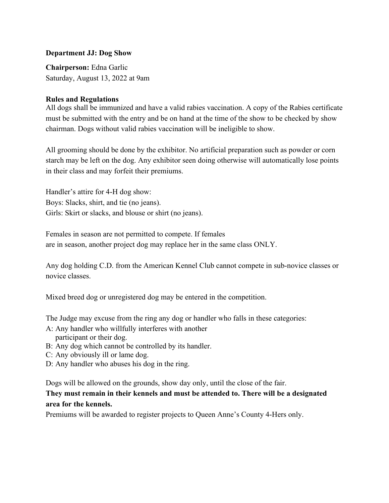## **Department JJ: Dog Show**

**Chairperson:** Edna Garlic Saturday, August 13, 2022 at 9am

# **Rules and Regulations**

All dogs shall be immunized and have a valid rabies vaccination. A copy of the Rabies certificate must be submitted with the entry and be on hand at the time of the show to be checked by show chairman. Dogs without valid rabies vaccination will be ineligible to show.

All grooming should be done by the exhibitor. No artificial preparation such as powder or corn starch may be left on the dog. Any exhibitor seen doing otherwise will automatically lose points in their class and may forfeit their premiums.

Handler's attire for 4-H dog show: Boys: Slacks, shirt, and tie (no jeans). Girls: Skirt or slacks, and blouse or shirt (no jeans).

Females in season are not permitted to compete. If females are in season, another project dog may replace her in the same class ONLY.

Any dog holding C.D. from the American Kennel Club cannot compete in sub-novice classes or novice classes.

Mixed breed dog or unregistered dog may be entered in the competition.

The Judge may excuse from the ring any dog or handler who falls in these categories:

- A: Any handler who willfully interferes with another participant or their dog.
- B: Any dog which cannot be controlled by its handler.
- C: Any obviously ill or lame dog.
- D: Any handler who abuses his dog in the ring.

Dogs will be allowed on the grounds, show day only, until the close of the fair.

# **They must remain in their kennels and must be attended to. There will be a designated area for the kennels.**

Premiums will be awarded to register projects to Queen Anne's County 4-Hers only.